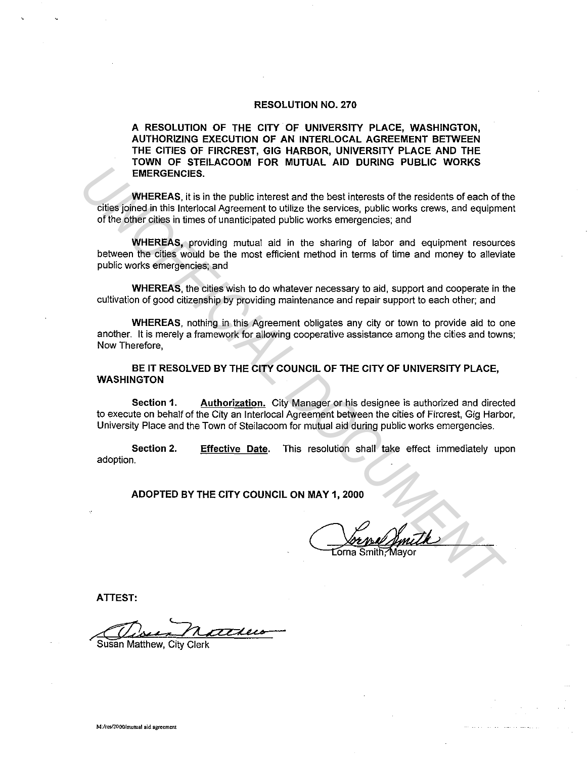#### **RESOLUTION NO. 270**

**A RESOLUTION OF THE CITY OF UNIVERSITY PLACE, WASHINGTON, AUTHORIZING EXECUTION OF AN INTERLOCAL AGREEMENT BETWEEN THE CITIES OF FIRCREST, GIG HARBOR, UNIVERSITY PLACE AND THE TOWN OF STEILACOOM FOR MUTUAL AID DURING PUBLIC WORKS EMERGENCIES.** 

**WHEREAS,** it is in the public interest and the best interests of the residents of each of the cities joined in this lnterlocal Agreement to utilize the services, public works crews, and equipment of the other cities in times of unanticipated public works emergencies; and **EMERGENCIES.**<br> **UNIFICENTS INTERFACES**<br> **UNIFICENTS INTERFACES**<br> **UNIFICENTS INTERFACES**<br> **UNIFICENTS ACTES INTERFACES**<br> **UNIFICENTS ACTES INTERFACES**<br> **UNIFICENTS ACTES INTERFACES**<br> **UNIFICENTS ACTES**<br> **UNIFICENTS** INTER

**WHEREAS,** providing mutual aid in the sharing of labor and equipment resources between the cities would be the most efficient method in terms of time and money to alleviate public works emergencies; and

**WHEREAS,** the cities wish to do whatever necessary to aid, support and cooperate in the cultivation of good citizenship by providing maintenance and repair support to each other; and

**WHEREAS,** nothing in this Agreement obligates any city or town to provide aid to one another. It is merely a framework for allowing cooperative assistance among the cities and towns; Now Therefore,

**BE IT RESOLVED BY THE CITY COUNCIL OF THE CITY OF UNIVERSITY PLACE, WASHINGTON** 

**Section 1. Authorization.** City Manager or his designee is authorized and directed to execute on behalf of the City an lnterlocal Agreement between the cities of Fircrest, Gig Harbor, University Place and the Town of Steilacoom for mutual aid during public works emergencies.

**Section 2.**  adoption. **Effective Date.** This resolution shall take effect immediately upon

**ADOPTED BY THE CITY COUNCIL ON MAY 1, 2000** 

**ATTEST:** 

Susan Matthew, City Clerk *,,.'----n*   $rac{atte}{\sqrt{t}}$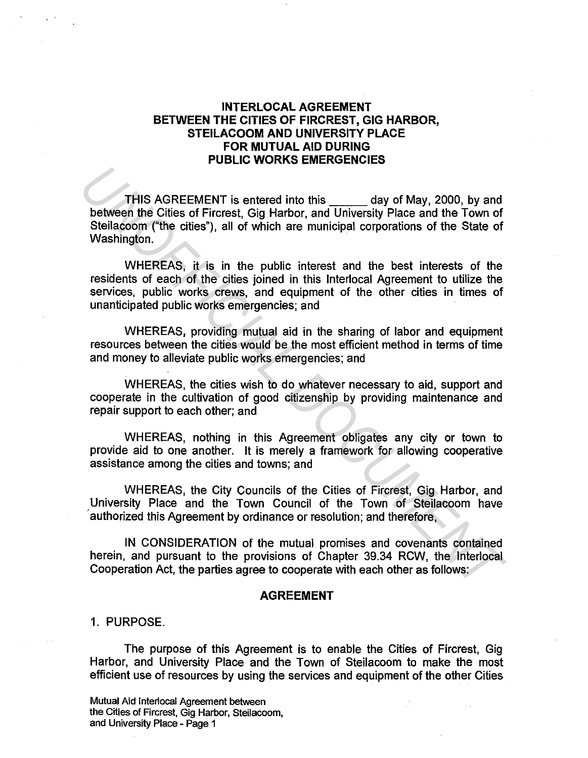# INTERLOCAL AGREEMENT BETWEEN THE CITIES OF FIRCREST, GIG HARBOR, STEILACOOM AND UNIVERSITY PLACE FOR MUTUAL AID DURING PUBLIC WORKS EMERGENCIES

THIS AGREEMENT is entered into this day of May, 2000, by and between the Cities of Fircrest, Gig Harbor, and University Place and the Town of Steilacoom ("the cities"), all of which are municipal corporations of the State of Washington. THIS AGREEMENT is entered into this day of May, 2000, by and<br>
between the Cities of Fircrest, Gig Harbor, and University Place and the Town of<br>
Stellacoom ("the cities"), all of which are municipal corporations of the Stat

WHEREAS, it is in the public interest and the best interests of the residents of each of the cities joined in this lnterlocal Agreement to utilize the services, public works crews, and equipment of the other cities in times of unanticipated public works emergencies; and

WHEREAS, providing mutual aid in the sharing of labor and equipment resources between the cities would be the most efficient method in terms of time and money to alleviate public works emergencies; and

WHEREAS, the cities wish to do whatever necessary to aid, support and cooperate in the cultivation of good citizenship by providing maintenance and repair support to each other; and

WHEREAS, nothing in this Agreement obligates any city or town to provide aid to one another. It is merely a framework for allowing cooperative assistance among the cities and towns; and

WHEREAS, the City Councils of the Cities of Fircrest, Gig Harbor, and University Place and the Town Council of the Town of Steilacoom have authorized this Agreement by ordinance or resolution; and therefore,

IN CONSIDERATION of the mutual promises and covenants contained herein, and pursuant to the provisions of Chapter 39.34 RCW, the lnterlocal Cooperation Act, the parties agree to cooperate with each other as follows:

#### AGREEMENT

1. PURPOSE.

The purpose of this Agreement is to enable the Cities of Fircrest, Gig Harbor, and University Place and the Town of Steilacoom to make the most efficient use of resources by using the services and equipment of the other Cities

Mutual Aid lntertocal Agreement between the Cities of Fircrest, Gig Harbor, Steilacoom, and University Place - Page 1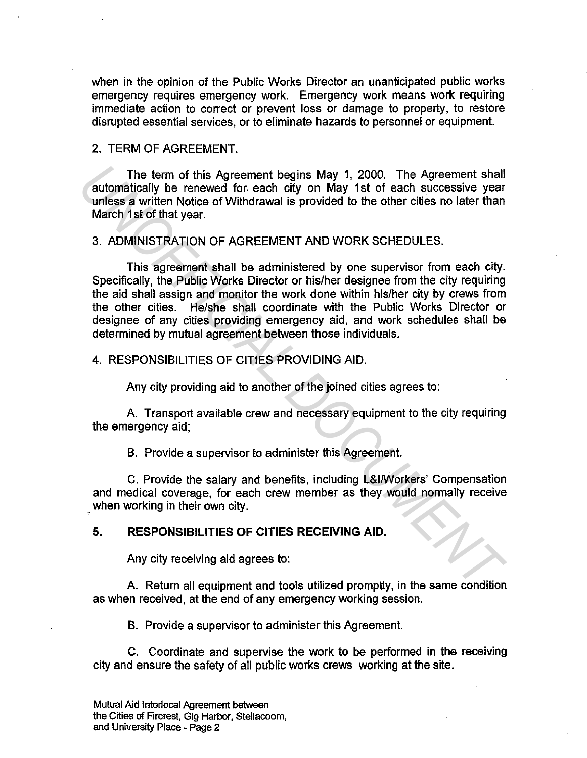when in the opinion of the Public Works Director an unanticipated public works emergency requires emergency work. Emergency work means work requiring immediate action to correct or prevent loss or damage to property, to restore disrupted essential services, or to eliminate hazards to personnel or equipment.

### 2. TERM OF AGREEMENT.

The term of this Agreement begins May 1, 2000. The Agreement shall automatically be renewed for each city on May 1st of each successive year unless a written Notice of Withdrawal is provided to the other cities no later than March 1st of that year.

### 3. ADMINISTRATION OF AGREEMENT AND WORK SCHEDULES.

This agreement shall be administered by one supervisor from each city. Specifically, the Public Works Director or his/her designee from the city requiring the aid shall assign and monitor the work done within his/her city by crews from the other cities. He/she shall coordinate with the Public Works Director or designee of any cities providing emergency aid, and work schedules shall be determined by mutual agreement between those individuals. The term of this Agreement begins May 1, 2000. The Agreement shall<br>
unless a written Notice of Withdrawal is provided to the cherc rities no later than<br>
unless a written Notice of Withdrawal is provided to the cherc rities

#### 4. RESPONSIBILITIES OF CITIES PROVIDING AID.

Any city providing aid to another of the joined cities agrees to:

A. Transport available crew and necessary equipment to the city requiring the emergency aid;

B. Provide a supervisor to administer this Agreement.

C. Provide the salary and benefits, including L&l/Workers' Compensation and medical coverage, for each crew member as they would normally receive when working in their own city.

## **5. RESPONSIBILITIES OF CITIES RECEIVING AID.**

Any city receiving aid agrees to:

A. Return all equipment and tools utilized promptly, in the same condition as when received, at the end of any emergency working session.

B. Provide a supervisor to administer this Agreement.

C. Coordinate and supervise the work to be performed in the receiving city and ensure the safety of all public works crews working at the site.

Mutual Aid lnterlocal Agreement between the Cities of Fircrest, Gig Harbor, Steilacoom, and University Place - Page 2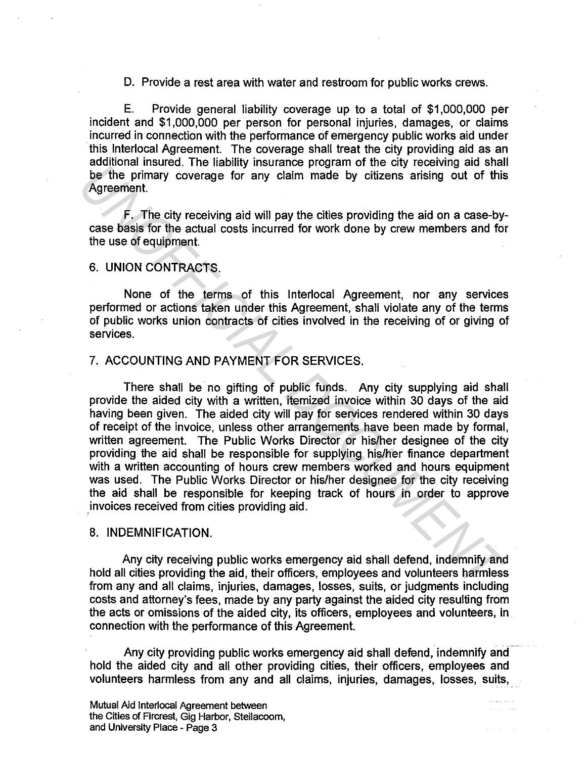D. Provide a rest area with water and restroom for public works crews.

E. Provide general liability coverage up to a total of \$1,000,000 per incident and \$1,000,000 per person for personal injuries, damages, or claims incurred in connection with the performance of emergency public works aid under this lnterlocal Agreement. The coverage shall treat the city providing aid as an additional insured. The liability insurance program of the city receiving aid shall be the primary coverage for any claim made by citizens arising out of this Agreement.

F. The city receiving aid will pay the cities providing the aid on a case-bycase basis for the actual costs incurred for work done by crew members and for the use of equipment.

### 6. UNION CONTRACTS.

None of the terms of this lnterlocal Agreement, nor any services performed or actions taken under this Agreement, shall violate any of the terms of public works union contracts of cities involved in the receiving of or giving of services.

### 7. ACCOUNTING AND PAYMENT FOR SERVICES.

There shall be no gifting of public funds. Any city supplying aid shall provide the aided city with a written, itemized invoice within 30 days of the aid having been given. The aided city will pay for services rendered within 30 days of receipt of the invoice, unless other arrangements have been made by formal, written agreement. The Public Works Director or his/her designee of the city providing the aid shall be responsible for supplying his/her finance department with a written accounting of hours crew members worked and hours equipment was used. The Public Works Director or his/her designee for the city receiving the aid shall be responsible for keeping track of hours in order to approve .invoices received from cities providing aid. **Example 11 The Harmary instance programment than the convention and state of the primary coverage for any dalm made by citizens arising out of this Agreement.<br>
<b>Example 12** The city receiving aid will pay the cities provi

#### 8. INDEMNIFICATION.

Any city receiving public works emergency aid shall defend, indemnify and hold all cities providing the aid, their officers, employees and volunteers harmless from any and all claims, injuries, damages, losses, suits, or judgments including costs and attorney's fees, made by any party against the aided city resulting from the acts or omissions of the aided city, its officers, employees and volunteers, in connection with the performance of this Agreement.

Any city providing public works emergency aid shall defend, indemnify and hold the aided city and all other providing cities, their officers, employees and volunteers harmless from any and all claims, injuries, damages, losses, suits,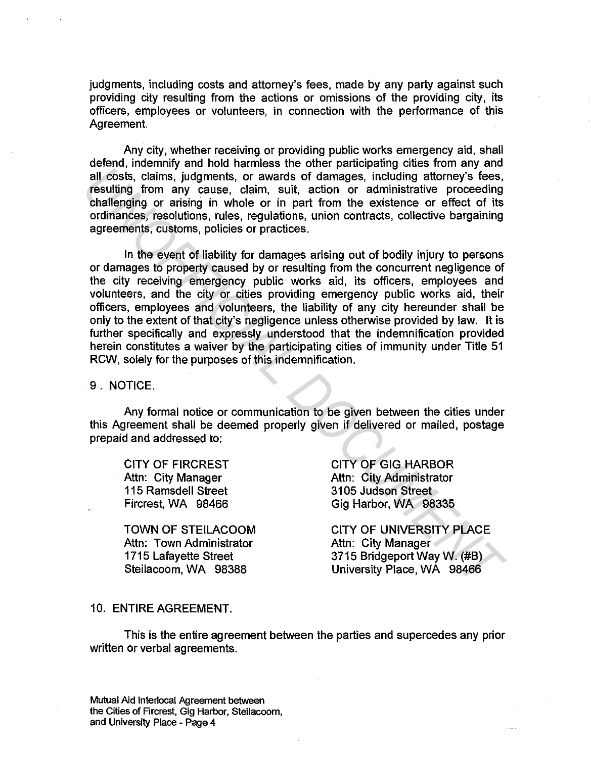judgments, including costs and attorney's fees, made by any party against such providing city resulting from the actions or omissions of the providing city, its officers, employees or volunteers, in connection with the performance of this Agreement.

Any city, whether receiving or providing public works emergency aid, shall defend, indemnify and hold harmless the other participating cities from any and all costs, claims, judgments, or awards of damages, including attorney's fees, resulting from any cause, claim, suit, action or administrative proceeding challenging or arising in whole or in part from the existence or effect of its ordinances, resolutions, rules, regulations, union contracts, collective bargaining agreements, customs, policies or practices.

In the event of liability for damages arising out of bodily injury to persons or damages to property caused by or resulting from the concurrent negligence of the city receiving emergency public works aid, its officers, employees and volunteers, and the city or cities providing emergency public works aid, their officers, employees and volunteers, the liability of any city hereunder shall be only to the extent of that city's negligence unless otherwise provided by law. It is further specifically and expressly understood that the indemnification provided herein constitutes a waiver by the participating cities of immunity under Title 51 RCW, solely for the purposes of this indemnification. **Example 12**<br>all obsts, claims, judgments, or awards of damages, including attorney's fees,<br>ealinging or arising in whoie or in part from the existence or effect of its<br>ordinances, resolutions, rules, regulations, union co

9. NOTICE.

Any formal notice or communication to be given between the cities under this Agreement shall be deemed properly given if delivered or mailed, postage prepaid and addressed to:

CITY OF FIRCREST Attn: City Manager 115 Ramsdell Street Fircrest, WA 98466

TOWN OF STEILACOOM Attn: Town Administrator 1715 Lafayette Street Steilacoom, WA 98388

CITY OF GIG HARBOR Attn: City Administrator 3105 Judson Street Gig Harbor, WA 98335

CITY OF UNIVERSITY PLACE Attn: City Manager 3715 Bridgeport Way W. (#B) University Place, WA 98466

#### 10. ENTIRE AGREEMENT.

This is the entire agreement between the parties and supercedes any prior written or verbal agreements.

Mutual Aid lnterlocal Agreement between the Cities of Fircrest, Gig Harbor, Steilacoom, and University Place - Page 4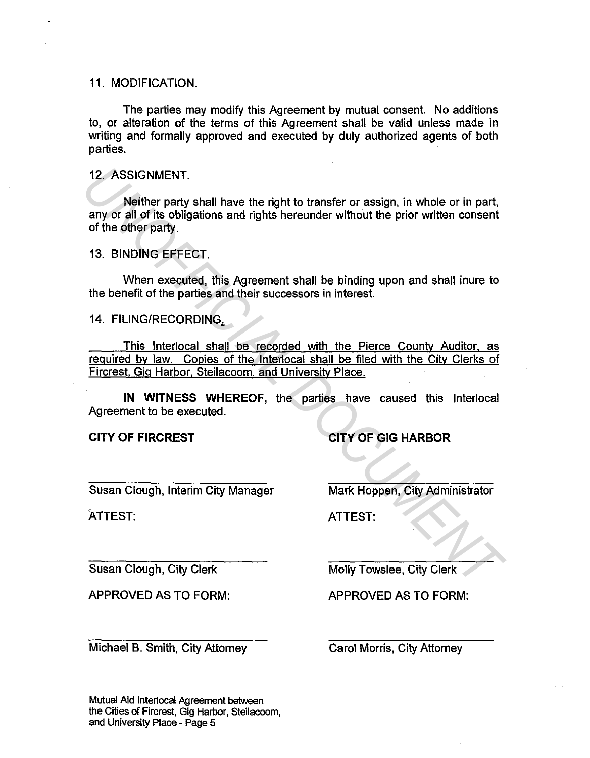### 11. MODIFICATION.

The parties may modify this Agreement by mutual consent. No additions to, or alteration of the terms of this Agreement shall be valid unless made in writing and formally approved and executed by duly authorized agents of both parties.

12. ASSIGNMENT.

Neither party shall have the right to transfer or assign, in whole or in part, any or all of its obligations and rights hereunder without the prior written consent of the other party. 12. ASSIGNMENT.<br>
Neither party shall have the right to transfer or assign, in whole or in part,<br>
any or all of this obligations and rights hereunder without the prior written consent<br>
13. BINDING EFFECT.<br>
13. BINDING EFFEC

13. BINDING EFFECT.

When executed, this Agreement shall be binding upon and shall inure to the benefit of the parties and their successors in interest.

14. FILING/RECORDING,

This lnterlocal shall be recorded with the Pierce County Auditor. as required by law. Copies of the lnterlocal shall be filed with the City Clerks of Fircrest. Gig Harbor. Steilacoom. and University Place.

**IN WITNESS WHEREOF,** the parties have caused this lnterlocal Agreement to be executed.

**CITY OF FIRCREST** 

**CITY OF GIG HARBOR** 

Susan Clough, Interim City Manager

ATTEST:

Mark Happen, City Administrator

ATTEST:

Susan Clough, City Clerk

APPROVED AS TO FORM:

Michael B. Smith, City Attorney

Molly Towslee, City Clerk

APPROVED AS TO FORM:

Carol Morris, City Attorney

Mutual Aid Interlocal Agreement between the Cities of Fircrest, Gig Harbor, Steilacoom, and University Place - Page 5